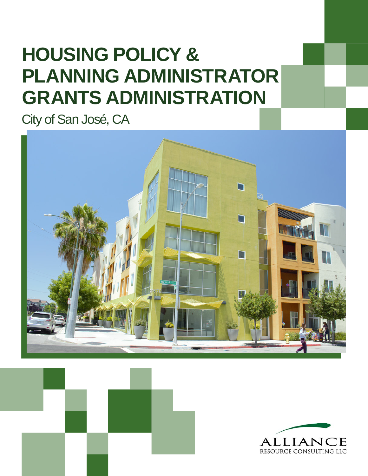# **HOUSING POLICY & GRANTS ADMINISTRATION PLANNING ADMINISTRATOR**

City of San José, CA





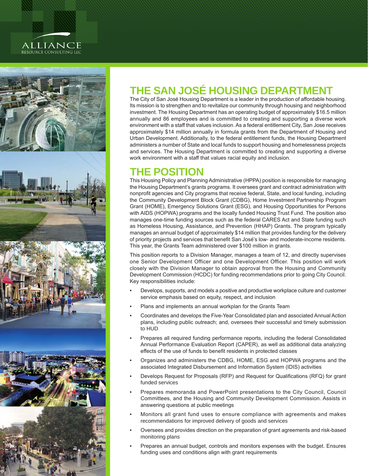### **ALLIANCE** RESOURCE CONSULTING LLC



# **THE SAN JOSÉ HOUSING DEPARTMENT**

The City of San José Housing Department is a leader in the production of affordable housing. Its mission is to strengthen and to revitalize our community through housing and neighborhood investment. The Housing Department has an operating budget of approximately \$16.5 million annually and 86 employees and is committed to creating and supporting a diverse work environment with a staff that values inclusion. As a federal entitlement City, San Jose receives approximately \$14 million annually in formula grants from the Department of Housing and Urban Development. Additionally, to the federal entitlement funds, the Housing Department administers a number of State and local funds to support housing and homelessness projects and services. The Housing Department is committed to creating and supporting a diverse work environment with a staff that values racial equity and inclusion.

# **THE POSITION**

This Housing Policy and Planning Administrative (HPPA) position is responsible for managing the Housing Department's grants programs. It oversees grant and contract administration with nonprofit agencies and City programs that receive federal, State, and local funding, including the Community Development Block Grant (CDBG), Home Investment Partnership Program Grant (HOME), Emergency Solutions Grant (ESG), and Housing Opportunities for Persons with AIDS (HOPWA) programs and the locally funded Housing Trust Fund. The position also manages one-time funding sources such as the federal CARES Act and State funding such as Homeless Housing, Assistance, and Prevention (HHAP) Grants. The program typically manages an annual budget of approximately \$14 million that provides funding for the delivery of priority projects and services that benefit San José's low- and moderate-income residents. This year, the Grants Team administered over \$100 million in grants.

This position reports to a Division Manager, manages a team of 12, and directly supervises one Senior Development Officer and one Development Officer. This position will work closely with the Division Manager to obtain approval from the Housing and Community Development Commission (HCDC) for funding recommendations prior to going City Council. Key responsibilities include:

- Develops, supports, and models a positive and productive workplace culture and customer service emphasis based on equity, respect, and inclusion
- Plans and implements an annual workplan for the Grants Team
- Coordinates and develops the Five-Year Consolidated plan and associated Annual Action plans, including public outreach; and, oversees their successful and timely submission to HUD
- Prepares all required funding performance reports, including the federal Consolidated Annual Performance Evaluation Report (CAPER), as well as additional data analyzing effects of the use of funds to benefit residents in protected classes
- Organizes and administers the CDBG, HOME, ESG and HOPWA programs and the associated Integrated Disbursement and Information System (IDIS) activities
- Develops Request for Proposals (RFP) and Request for Qualifications (RFQ) for grant funded services
- Prepares memoranda and PowerPoint presentations to the City Council, Council Committees, and the Housing and Community Development Commission. Assists in answering questions at public meetings
- Monitors all grant fund uses to ensure compliance with agreements and makes recommendations for improved delivery of goods and services
- Oversees and provides direction on the preparation of grant agreements and risk-based monitoring plans
- Prepares an annual budget, controls and monitors expenses with the budget. Ensures funding uses and conditions align with grant requirements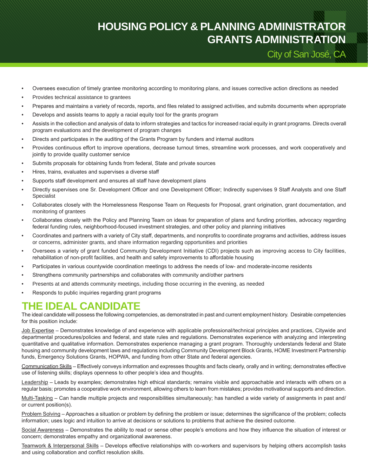# **HOUSING POLICY & PLANNING ADMINISTRATOR GRANTS ADMINISTRATION**

City of San José, CA

- Oversees execution of timely grantee monitoring according to monitoring plans, and issues corrective action directions as needed
- Provides technical assistance to grantees
- Prepares and maintains a variety of records, reports, and files related to assigned activities, and submits documents when appropriate
- Develops and assists teams to apply a racial equity tool for the grants program
- Assists in the collection and analysis of data to inform strategies and tactics for increased racial equity in grant programs. Directs overall program evaluations and the development of program changes
- Directs and participates in the auditing of the Grants Program by funders and internal auditors
- Provides continuous effort to improve operations, decrease turnout times, streamline work processes, and work cooperatively and jointly to provide quality customer service
- Submits proposals for obtaining funds from federal, State and private sources
- Hires, trains, evaluates and supervises a diverse staff
- Supports staff development and ensures all staff have development plans
- Directly supervises one Sr. Development Officer and one Development Officer; Indirectly supervises 9 Staff Analysts and one Staff Specialist
- Collaborates closely with the Homelessness Response Team on Requests for Proposal, grant origination, grant documentation, and monitoring of grantees
- Collaborates closely with the Policy and Planning Team on ideas for preparation of plans and funding priorities, advocacy regarding federal funding rules, neighborhood-focused investment strategies, and other policy and planning initiatives
- Coordinates and partners with a variety of City staff, departments, and nonprofits to coordinate programs and activities, address issues or concerns, administer grants, and share information regarding opportunities and priorities
- Oversees a variety of grant funded Community Development Initiative (CDI) projects such as improving access to City facilities, rehabilitation of non-profit facilities, and health and safety improvements to affordable housing
- Participates in various countywide coordination meetings to address the needs of low- and moderate-income residents
- Strengthens community partnerships and collaborates with community and/other partners
- Presents at and attends community meetings, including those occurring in the evening, as needed
- Responds to public inquiries regarding grant programs

### **THE IDEAL CANDIDATE**

The ideal candidate will possess the following competencies, as demonstrated in past and current employment history. Desirable competencies for this position include:

Job Expertise – Demonstrates knowledge of and experience with applicable professional/technical principles and practices, Citywide and departmental procedures/policies and federal, and state rules and regulations. Demonstrates experience with analyzing and interpreting quantitative and qualitative information. Demonstrates experience managing a grant program. Thoroughly understands federal and State housing and community development laws and regulations including Community Development Block Grants, HOME Investment Partnership funds, Emergency Solutions Grants, HOPWA, and funding from other State and federal agencies.

Communication Skills – Effectively conveys information and expresses thoughts and facts clearly, orally and in writing; demonstrates effective use of listening skills; displays openness to other people's idea and thoughts.

Leadership – Leads by examples; demonstrates high ethical standards; remains visible and approachable and interacts with others on a regular basis; promotes a cooperative work environment, allowing others to learn from mistakes; provides motivational supports and direction.

Multi-Tasking – Can handle multiple projects and responsibilities simultaneously; has handled a wide variety of assignments in past and/ or current position(s).

Problem Solving – Approaches a situation or problem by defining the problem or issue; determines the significance of the problem; collects information; uses logic and intuition to arrive at decisions or solutions to problems that achieve the desired outcome.

Social Awareness – Demonstrates the ability to read or sense other people's emotions and how they influence the situation of interest or concern; demonstrates empathy and organizational awareness.

Teamwork & Interpersonal Skills – Develops effective relationships with co-workers and supervisors by helping others accomplish tasks and using collaboration and conflict resolution skills.